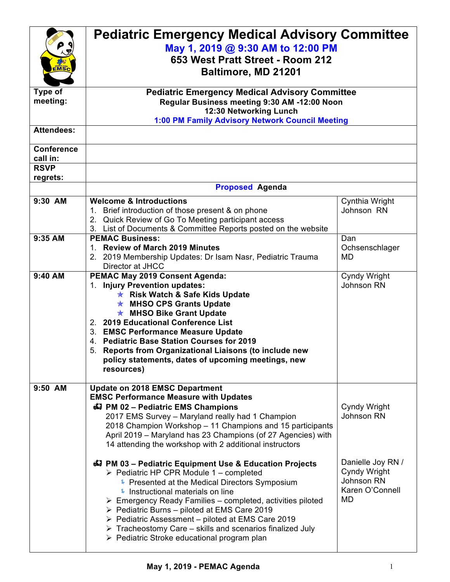| MS <sub>c</sub>                              | <b>Pediatric Emergency Medical Advisory Committee</b><br>May 1, 2019 @ 9:30 AM to 12:00 PM<br>653 West Pratt Street - Room 212<br>Baltimore, MD 21201                                                                                                                                                                                                                                                                                                                                                                                           |                                                                          |  |
|----------------------------------------------|-------------------------------------------------------------------------------------------------------------------------------------------------------------------------------------------------------------------------------------------------------------------------------------------------------------------------------------------------------------------------------------------------------------------------------------------------------------------------------------------------------------------------------------------------|--------------------------------------------------------------------------|--|
| <b>Type of</b><br>meeting:                   | <b>Pediatric Emergency Medical Advisory Committee</b><br>Regular Business meeting 9:30 AM -12:00 Noon<br>12:30 Networking Lunch<br>1:00 PM Family Advisory Network Council Meeting                                                                                                                                                                                                                                                                                                                                                              |                                                                          |  |
| <b>Attendees:</b>                            |                                                                                                                                                                                                                                                                                                                                                                                                                                                                                                                                                 |                                                                          |  |
| <b>Conference</b><br>call in:<br><b>RSVP</b> |                                                                                                                                                                                                                                                                                                                                                                                                                                                                                                                                                 |                                                                          |  |
| regrets:                                     |                                                                                                                                                                                                                                                                                                                                                                                                                                                                                                                                                 |                                                                          |  |
|                                              | <b>Proposed Agenda</b>                                                                                                                                                                                                                                                                                                                                                                                                                                                                                                                          |                                                                          |  |
| 9:30 AM                                      | <b>Welcome &amp; Introductions</b><br>1. Brief introduction of those present & on phone<br>2. Quick Review of Go To Meeting participant access<br>3. List of Documents & Committee Reports posted on the website                                                                                                                                                                                                                                                                                                                                | Cynthia Wright<br>Johnson RN                                             |  |
| 9:35 AM                                      | <b>PEMAC Business:</b><br>1. Review of March 2019 Minutes<br>2. 2019 Membership Updates: Dr Isam Nasr, Pediatric Trauma<br>Director at JHCC                                                                                                                                                                                                                                                                                                                                                                                                     | Dan<br>Ochsenschlager<br><b>MD</b>                                       |  |
| 9:40 AM                                      | PEMAC May 2019 Consent Agenda:<br>1. Injury Prevention updates:<br><b>★ Risk Watch &amp; Safe Kids Update</b><br><b>★ MHSO CPS Grants Update</b><br><b>★ MHSO Bike Grant Update</b><br>2. 2019 Educational Conference List<br>3. EMSC Performance Measure Update<br>4. Pediatric Base Station Courses for 2019<br>5. Reports from Organizational Liaisons (to include new<br>policy statements, dates of upcoming meetings, new<br>resources)                                                                                                   | Cyndy Wright<br>Johnson RN                                               |  |
| 9:50 AM                                      | <b>Update on 2018 EMSC Department</b><br><b>EMSC Performance Measure with Updates</b><br>47 PM 02 - Pediatric EMS Champions<br>2017 EMS Survey - Maryland really had 1 Champion<br>2018 Champion Workshop - 11 Champions and 15 participants<br>April 2019 - Maryland has 23 Champions (of 27 Agencies) with<br>14 attending the workshop with 2 additional instructors                                                                                                                                                                         | Cyndy Wright<br>Johnson RN                                               |  |
|                                              | 47 PM 03 - Pediatric Equipment Use & Education Projects<br>$\triangleright$ Pediatric HP CPR Module 1 – completed<br>Presented at the Medical Directors Symposium<br>Instructional materials on line<br>$\triangleright$ Emergency Ready Families – completed, activities piloted<br>$\triangleright$ Pediatric Burns – piloted at EMS Care 2019<br>$\triangleright$ Pediatric Assessment – piloted at EMS Care 2019<br>$\triangleright$ Tracheostomy Care – skills and scenarios finalized July<br>▶ Pediatric Stroke educational program plan | Danielle Joy RN /<br>Cyndy Wright<br>Johnson RN<br>Karen O'Connell<br>MD |  |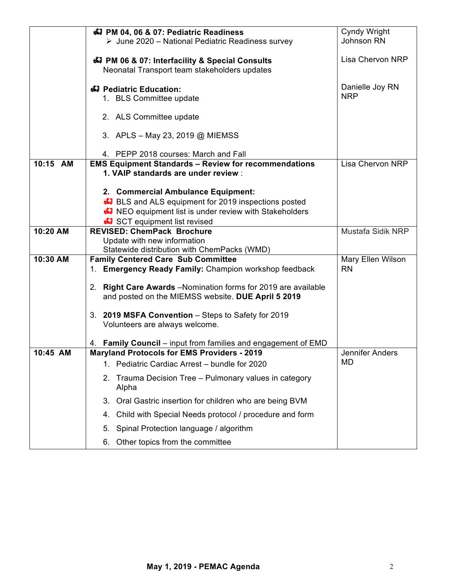|          | 47 PM 04, 06 & 07: Pediatric Readiness                                                             | Cyndy Wright                   |
|----------|----------------------------------------------------------------------------------------------------|--------------------------------|
|          | $\triangleright$ June 2020 – National Pediatric Readiness survey                                   | Johnson RN                     |
|          | 47 PM 06 & 07: Interfacility & Special Consults<br>Neonatal Transport team stakeholders updates    | Lisa Chervon NRP               |
|          | 43 Pediatric Education:<br>1. BLS Committee update                                                 | Danielle Joy RN<br><b>NRP</b>  |
|          | 2. ALS Committee update                                                                            |                                |
|          | 3. APLS – May 23, 2019 @ MIEMSS                                                                    |                                |
|          | 4. PEPP 2018 courses: March and Fall                                                               |                                |
| 10:15 AM | <b>EMS Equipment Standards - Review for recommendations</b><br>1. VAIP standards are under review: | Lisa Chervon NRP               |
|          | 2. Commercial Ambulance Equipment:                                                                 |                                |
|          | <b>E</b> BLS and ALS equipment for 2019 inspections posted                                         |                                |
|          | <b>A</b> NEO equipment list is under review with Stakeholders                                      |                                |
|          | SCT equipment list revised                                                                         |                                |
| 10:20 AM | <b>REVISED: ChemPack Brochure</b>                                                                  | Mustafa Sidik NRP              |
|          | Update with new information                                                                        |                                |
| 10:30 AM | Statewide distribution with ChemPacks (WMD)                                                        |                                |
|          | <b>Family Centered Care Sub Committee</b><br>1. Emergency Ready Family: Champion workshop feedback | Mary Ellen Wilson<br><b>RN</b> |
|          |                                                                                                    |                                |
|          | 2. Right Care Awards - Nomination forms for 2019 are available                                     |                                |
|          | and posted on the MIEMSS website. DUE April 5 2019                                                 |                                |
|          | 3. 2019 MSFA Convention - Steps to Safety for 2019                                                 |                                |
|          | Volunteers are always welcome.                                                                     |                                |
|          |                                                                                                    |                                |
|          | 4. Family Council – input from families and engagement of EMD                                      |                                |
| 10:45 AM | <b>Maryland Protocols for EMS Providers - 2019</b>                                                 | Jennifer Anders                |
|          | Pediatric Cardiac Arrest - bundle for 2020<br>1.                                                   | MD                             |
|          | Trauma Decision Tree - Pulmonary values in category<br>2.<br>Alpha                                 |                                |
|          | Oral Gastric insertion for children who are being BVM<br>3.                                        |                                |
|          | Child with Special Needs protocol / procedure and form<br>4.                                       |                                |
|          | Spinal Protection language / algorithm<br>5.                                                       |                                |
|          | Other topics from the committee<br>6.                                                              |                                |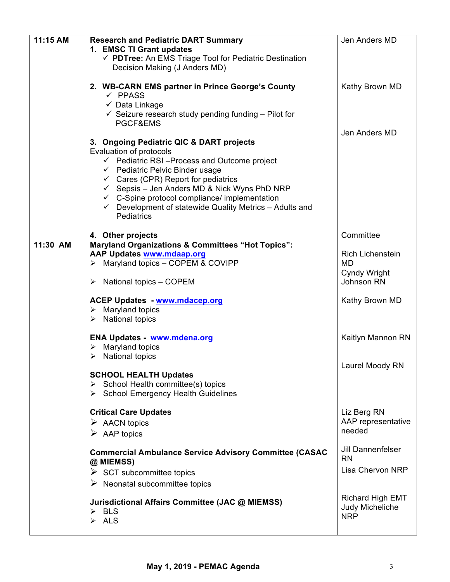| 11:15 AM | <b>Research and Pediatric DART Summary</b>                         | Jen Anders MD            |
|----------|--------------------------------------------------------------------|--------------------------|
|          | 1. EMSC TI Grant updates                                           |                          |
|          | √ PDTree: An EMS Triage Tool for Pediatric Destination             |                          |
|          | Decision Making (J Anders MD)                                      |                          |
|          |                                                                    |                          |
|          | 2. WB-CARN EMS partner in Prince George's County                   | Kathy Brown MD           |
|          | $\checkmark$ PPASS                                                 |                          |
|          | $\checkmark$ Data Linkage                                          |                          |
|          | $\checkmark$ Seizure research study pending funding – Pilot for    |                          |
|          | PGCF&EMS                                                           |                          |
|          |                                                                    | Jen Anders MD            |
|          | 3. Ongoing Pediatric QIC & DART projects                           |                          |
|          | Evaluation of protocols                                            |                          |
|          | $\checkmark$ Pediatric RSI-Process and Outcome project             |                          |
|          | $\checkmark$ Pediatric Pelvic Binder usage                         |                          |
|          | $\checkmark$ Cares (CPR) Report for pediatrics                     |                          |
|          | $\checkmark$ Sepsis – Jen Anders MD & Nick Wyns PhD NRP            |                          |
|          | $\checkmark$ C-Spine protocol compliance/ implementation           |                          |
|          | $\checkmark$ Development of statewide Quality Metrics - Adults and |                          |
|          | Pediatrics                                                         |                          |
|          | 4. Other projects                                                  | Committee                |
| 11:30 AM | <b>Maryland Organizations &amp; Committees "Hot Topics":</b>       |                          |
|          | <b>AAP Updates www.mdaap.org</b>                                   | <b>Rich Lichenstein</b>  |
|          | $\triangleright$ Maryland topics - COPEM & COVIPP                  | MD                       |
|          |                                                                    | Cyndy Wright             |
|          | National topics - COPEM<br>➤                                       | Johnson RN               |
|          |                                                                    |                          |
|          | <b>ACEP Updates - www.mdacep.org</b>                               | Kathy Brown MD           |
|          | $\triangleright$ Maryland topics                                   |                          |
|          | $\triangleright$ National topics                                   |                          |
|          |                                                                    |                          |
|          | ENA Updates - www.mdena.org                                        | Kaitlyn Mannon RN        |
|          | Maryland topics<br>➤                                               |                          |
|          | <b>National topics</b><br>➤                                        |                          |
|          |                                                                    | Laurel Moody RN          |
|          | <b>SCHOOL HEALTH Updates</b>                                       |                          |
|          | $\triangleright$ School Health committee(s) topics                 |                          |
|          | School Emergency Health Guidelines                                 |                          |
|          | <b>Critical Care Updates</b>                                       | Liz Berg RN              |
|          |                                                                    | AAP representative       |
|          | $\triangleright$ AACN topics                                       | needed                   |
|          | $\triangleright$ AAP topics                                        |                          |
|          |                                                                    | <b>Jill Dannenfelser</b> |
|          | <b>Commercial Ambulance Service Advisory Committee (CASAC</b>      | <b>RN</b>                |
|          | @ MIEMSS)                                                          | Lisa Chervon NRP         |
|          | $\triangleright$ SCT subcommittee topics                           |                          |
|          | $\triangleright$ Neonatal subcommittee topics                      |                          |
|          |                                                                    | Richard High EMT         |
|          | Jurisdictional Affairs Committee (JAC @ MIEMSS)                    | Judy Micheliche          |
|          | $\triangleright$ BLS                                               | <b>NRP</b>               |
|          | $\triangleright$ ALS                                               |                          |
|          |                                                                    |                          |